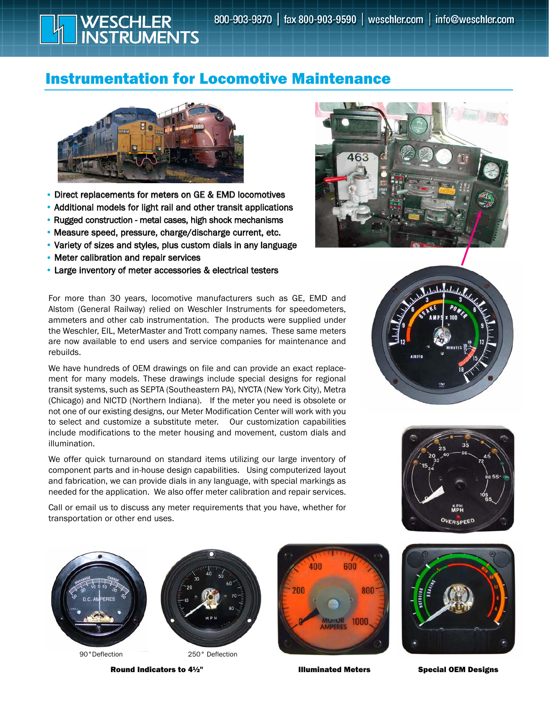## Instrumentation for Locomotive Maintenance



WESCHLER<br>INSTRUMENTS

- Direct replacements for meters on GE & EMD locomotives
- Additional models for light rail and other transit applications
- Rugged construction metal cases, high shock mechanisms
- Measure speed, pressure, charge/discharge current, etc.
- Variety of sizes and styles, plus custom dials in any language
- Meter calibration and repair services
- Large inventory of meter accessories & electrical testers

For more than 30 years, locomotive manufacturers such as GE, EMD and Alstom (General Railway) relied on Weschler Instruments for speedometers, ammeters and other cab instrumentation. The products were supplied under the Weschler, EIL, MeterMaster and Trott company names. These same meters are now available to end users and service companies for maintenance and rebuilds.

We have hundreds of OEM drawings on file and can provide an exact replacement for many models. These drawings include special designs for regional transit systems, such as SEPTA (Southeastern PA), NYCTA (New York City), Metra (Chicago) and NICTD (Northern Indiana). If the meter you need is obsolete or not one of our existing designs, our Meter Modification Center will work with you to select and customize a substitute meter. Our customization capabilities include modifications to the meter housing and movement, custom dials and illumination.

We offer quick turnaround on standard items utilizing our large inventory of component parts and in-house design capabilities. Using computerized layout and fabrication, we can provide dials in any language, with special markings as needed for the application. We also offer meter calibration and repair services.

Call or email us to discuss any meter requirements that you have, whether for transportation or other end uses.



Round Indicators to 4½" <br>
Illuminated Meters Special OEM Designs